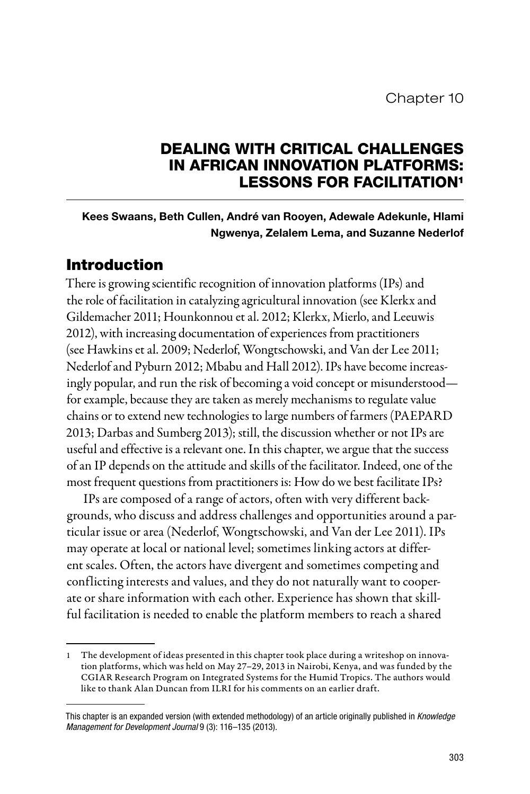## DEALING WITH CRITICAL CHALLENGES IN AFRICAN INNOVATION PLATFORMS: LESSONS FOR FACILITATION1

## Kees Swaans, Beth Cullen, André van Rooyen, Adewale Adekunle, Hlami Ngwenya, Zelalem Lema, and Suzanne Nederlof

## Introduction

There is growing scientific recognition of innovation platforms (IPs) and the role of facilitation in catalyzing agricultural innovation (see Klerkx and Gildemacher 2011; Hounkonnou et al. 2012; Klerkx, Mierlo, and Leeuwis 2012), with increasing documentation of experiences from practitioners (see Hawkins et al. 2009; Nederlof, Wongtschowski, and Van der Lee 2011; Nederlof and Pyburn 2012; Mbabu and Hall 2012). IPs have become increasingly popular, and run the risk of becoming a void concept or misunderstood for example, because they are taken as merely mechanisms to regulate value chains or to extend new technologies to large numbers of farmers (PAEPARD 2013; Darbas and Sumberg 2013); still, the discussion whether or not IPs are useful and effective is a relevant one. In this chapter, we argue that the success of an IP depends on the attitude and skills of the facilitator. Indeed, one of the most frequent questions from practitioners is: How do we best facilitate IPs?

IPs are composed of a range of actors, often with very different backgrounds, who discuss and address challenges and opportunities around a particular issue or area (Nederlof, Wongtschowski, and Van der Lee 2011). IPs may operate at local or national level; sometimes linking actors at different scales. Often, the actors have divergent and sometimes competing and conflicting interests and values, and they do not naturally want to cooperate or share information with each other. Experience has shown that skillful facilitation is needed to enable the platform members to reach a shared

<sup>1</sup> The development of ideas presented in this chapter took place during a writeshop on innovation platforms, which was held on May 27–29, 2013 in Nairobi, Kenya, and was funded by the CGIAR Research Program on Integrated Systems for the Humid Tropics. The authors would like to thank Alan Duncan from ILRI for his comments on an earlier draft.

This chapter is an expanded version (with extended methodology) of an article originally published in *Knowledge Management for Development Journal* 9 (3): 116–135 (2013).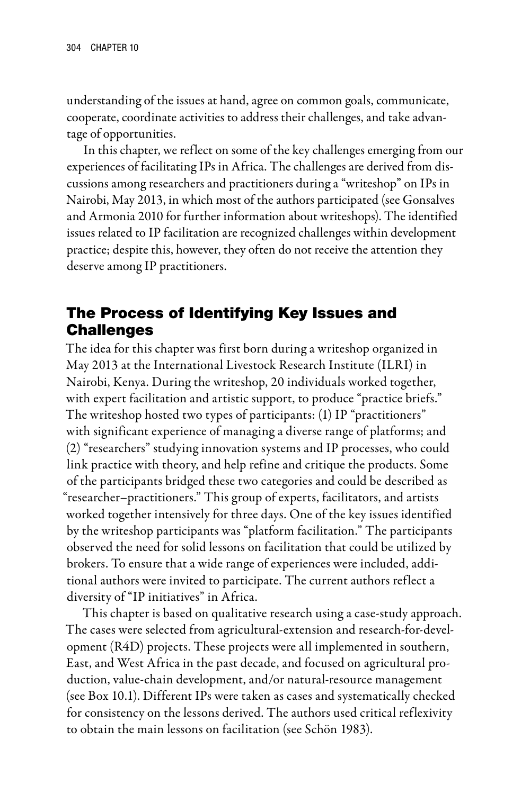understanding of the issues at hand, agree on common goals, communicate, cooperate, coordinate activities to address their challenges, and take advantage of opportunities.

In this chapter, we reflect on some of the key challenges emerging from our experiences of facilitating IPs in Africa. The challenges are derived from discussions among researchers and practitioners during a "writeshop" on IPs in Nairobi, May 2013, in which most of the authors participated (see Gonsalves and Armonia 2010 for further information about writeshops). The identified issues related to IP facilitation are recognized challenges within development practice; despite this, however, they often do not receive the attention they deserve among IP practitioners.

# The Process of Identifying Key Issues and Challenges

The idea for this chapter was first born during a writeshop organized in May 2013 at the International Livestock Research Institute (ILRI) in Nairobi, Kenya. During the writeshop, 20 individuals worked together, with expert facilitation and artistic support, to produce "practice briefs." The writeshop hosted two types of participants: (1) IP "practitioners" with significant experience of managing a diverse range of platforms; and (2) "researchers" studying innovation systems and IP processes, who could link practice with theory, and help refine and critique the products. Some of the participants bridged these two categories and could be described as "researcher–practitioners." This group of experts, facilitators, and artists worked together intensively for three days. One of the key issues identified by the writeshop participants was "platform facilitation." The participants observed the need for solid lessons on facilitation that could be utilized by brokers. To ensure that a wide range of experiences were included, additional authors were invited to participate. The current authors reflect a diversity of "IP initiatives" in Africa.

This chapter is based on qualitative research using a case-study approach. The cases were selected from agricultural-extension and research-for-development (R4D) projects. These projects were all implemented in southern, East, and West Africa in the past decade, and focused on agricultural production, value-chain development, and/or natural-resource management (see Box 10.1). Different IPs were taken as cases and systematically checked for consistency on the lessons derived. The authors used critical reflexivity to obtain the main lessons on facilitation (see Schön 1983).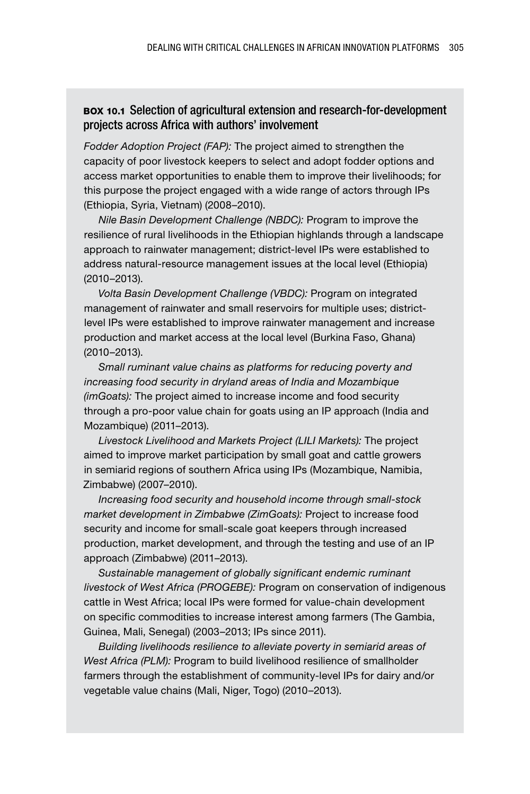### Box 10.1 Selection of agricultural extension and research-for-development projects across Africa with authors' involvement

*Fodder Adoption Project (FAP):* The project aimed to strengthen the capacity of poor livestock keepers to select and adopt fodder options and access market opportunities to enable them to improve their livelihoods; for this purpose the project engaged with a wide range of actors through IPs (Ethiopia, Syria, Vietnam) (2008–2010).

*Nile Basin Development Challenge (NBDC):* Program to improve the resilience of rural livelihoods in the Ethiopian highlands through a landscape approach to rainwater management; district-level IPs were established to address natural-resource management issues at the local level (Ethiopia) (2010–2013).

*Volta Basin Development Challenge (VBDC):* Program on integrated management of rainwater and small reservoirs for multiple uses; districtlevel IPs were established to improve rainwater management and increase production and market access at the local level (Burkina Faso, Ghana) (2010–2013).

*Small ruminant value chains as platforms for reducing poverty and increasing food security in dryland areas of India and Mozambique (imGoats):* The project aimed to increase income and food security through a pro-poor value chain for goats using an IP approach (India and Mozambique) (2011–2013).

*Livestock Livelihood and Markets Project (LILI Markets):* The project aimed to improve market participation by small goat and cattle growers in semiarid regions of southern Africa using IPs (Mozambique, Namibia, Zimbabwe) (2007–2010).

*Increasing food security and household income through small-stock market development in Zimbabwe (ZimGoats):* Project to increase food security and income for small-scale goat keepers through increased production, market development, and through the testing and use of an IP approach (Zimbabwe) (2011–2013).

*Sustainable management of globally significant endemic ruminant livestock of West Africa (PROGEBE):* Program on conservation of indigenous cattle in West Africa; local IPs were formed for value-chain development on specific commodities to increase interest among farmers (The Gambia, Guinea, Mali, Senegal) (2003–2013; IPs since 2011).

*Building livelihoods resilience to alleviate poverty in semiarid areas of West Africa (PLM):* Program to build livelihood resilience of smallholder farmers through the establishment of community-level IPs for dairy and/or vegetable value chains (Mali, Niger, Togo) (2010–2013).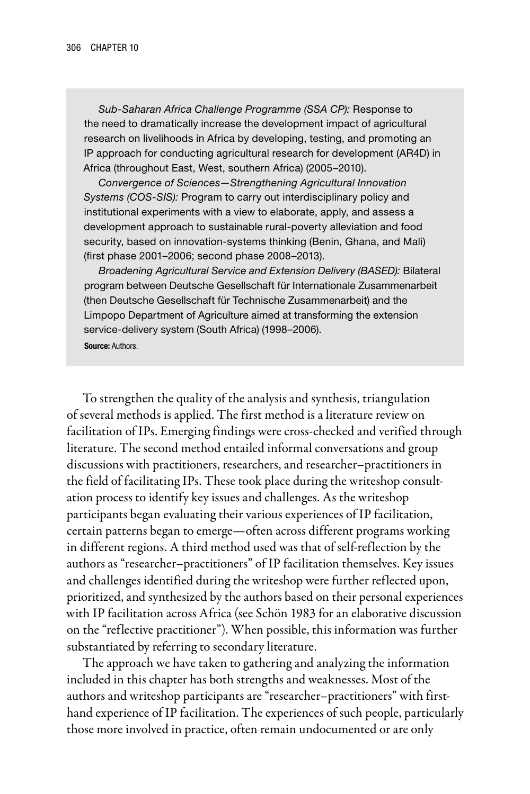*Sub-Saharan Africa Challenge Programme (SSA CP):* Response to the need to dramatically increase the development impact of agricultural research on livelihoods in Africa by developing, testing, and promoting an IP approach for conducting agricultural research for development (AR4D) in Africa (throughout East, West, southern Africa) (2005–2010).

*Convergence of Sciences—Strengthening Agricultural Innovation Systems (COS-SIS):* Program to carry out interdisciplinary policy and institutional experiments with a view to elaborate, apply, and assess a development approach to sustainable rural-poverty alleviation and food security, based on innovation-systems thinking (Benin, Ghana, and Mali) (first phase 2001–2006; second phase 2008–2013).

*Broadening Agricultural Service and Extension Delivery (BASED):* Bilateral program between Deutsche Gesellschaft für Internationale Zusammenarbeit (then Deutsche Gesellschaft für Technische Zusammenarbeit) and the Limpopo Department of Agriculture aimed at transforming the extension service-delivery system (South Africa) (1998–2006). Source: Authors.

To strengthen the quality of the analysis and synthesis, triangulation of several methods is applied. The first method is a literature review on facilitation of IPs. Emerging findings were cross-checked and verified through literature. The second method entailed informal conversations and group discussions with practitioners, researchers, and researcher–practitioners in the field of facilitating IPs. These took place during the writeshop consultation process to identify key issues and challenges. As the writeshop participants began evaluating their various experiences of IP facilitation, certain patterns began to emerge—often across different programs working in different regions. A third method used was that of self-reflection by the authors as "researcher–practitioners" of IP facilitation themselves. Key issues and challenges identified during the writeshop were further reflected upon, prioritized, and synthesized by the authors based on their personal experiences with IP facilitation across Africa (see Schön 1983 for an elaborative discussion on the "reflective practitioner"). When possible, this information was further substantiated by referring to secondary literature.

The approach we have taken to gathering and analyzing the information included in this chapter has both strengths and weaknesses. Most of the authors and writeshop participants are "researcher–practitioners" with firsthand experience of IP facilitation. The experiences of such people, particularly those more involved in practice, often remain undocumented or are only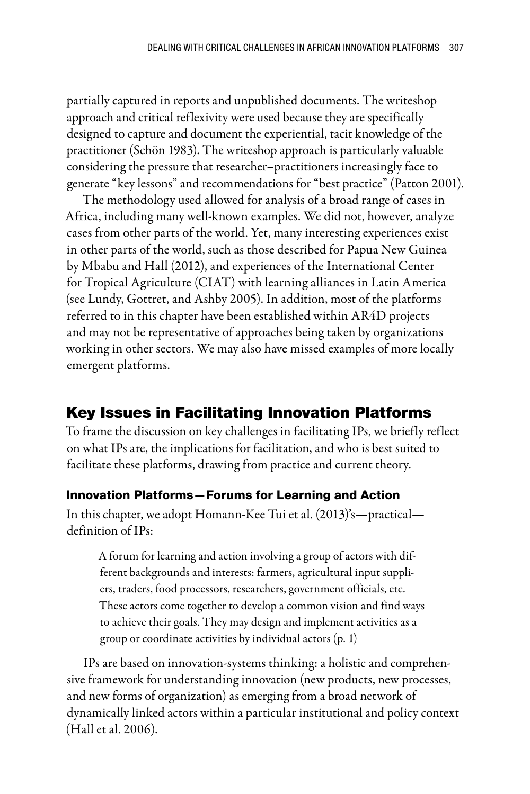partially captured in reports and unpublished documents. The writeshop approach and critical reflexivity were used because they are specifically designed to capture and document the experiential, tacit knowledge of the practitioner (Schön 1983). The writeshop approach is particularly valuable considering the pressure that researcher–practitioners increasingly face to generate "key lessons" and recommendations for "best practice" (Patton 2001).

The methodology used allowed for analysis of a broad range of cases in Africa, including many well-known examples. We did not, however, analyze cases from other parts of the world. Yet, many interesting experiences exist in other parts of the world, such as those described for Papua New Guinea by Mbabu and Hall (2012), and experiences of the International Center for Tropical Agriculture (CIAT) with learning alliances in Latin America (see Lundy, Gottret, and Ashby 2005). In addition, most of the platforms referred to in this chapter have been established within AR4D projects and may not be representative of approaches being taken by organizations working in other sectors. We may also have missed examples of more locally emergent platforms.

## Key Issues in Facilitating Innovation Platforms

To frame the discussion on key challenges in facilitating IPs, we briefly reflect on what IPs are, the implications for facilitation, and who is best suited to facilitate these platforms, drawing from practice and current theory.

### Innovation Platforms—Forums for Learning and Action

In this chapter, we adopt Homann-Kee Tui et al. (2013)'s—practical definition of IPs:

A forum for learning and action involving a group of actors with different backgrounds and interests: farmers, agricultural input suppliers, traders, food processors, researchers, government officials, etc. These actors come together to develop a common vision and find ways to achieve their goals. They may design and implement activities as a group or coordinate activities by individual actors (p. 1)

IPs are based on innovation-systems thinking: a holistic and comprehensive framework for understanding innovation (new products, new processes, and new forms of organization) as emerging from a broad network of dynamically linked actors within a particular institutional and policy context (Hall et al. 2006).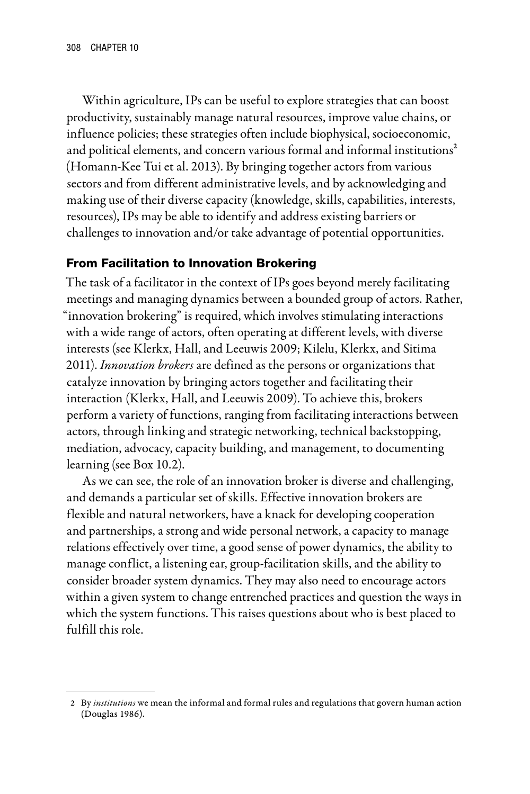Within agriculture, IPs can be useful to explore strategies that can boost productivity, sustainably manage natural resources, improve value chains, or influence policies; these strategies often include biophysical, socioeconomic, and political elements, and concern various formal and informal institutions<sup>2</sup> (Homann-Kee Tui et al. 2013). By bringing together actors from various sectors and from different administrative levels, and by acknowledging and making use of their diverse capacity (knowledge, skills, capabilities, interests, resources), IPs may be able to identify and address existing barriers or challenges to innovation and/or take advantage of potential opportunities.

## From Facilitation to Innovation Brokering

The task of a facilitator in the context of IPs goes beyond merely facilitating meetings and managing dynamics between a bounded group of actors. Rather, "innovation brokering" is required, which involves stimulating interactions with a wide range of actors, often operating at different levels, with diverse interests (see Klerkx, Hall, and Leeuwis 2009; Kilelu, Klerkx, and Sitima 2011). *Innovation brokers* are defined as the persons or organizations that catalyze innovation by bringing actors together and facilitating their interaction (Klerkx, Hall, and Leeuwis 2009). To achieve this, brokers perform a variety of functions, ranging from facilitating interactions between actors, through linking and strategic networking, technical backstopping, mediation, advocacy, capacity building, and management, to documenting learning (see Box 10.2).

As we can see, the role of an innovation broker is diverse and challenging, and demands a particular set of skills. Effective innovation brokers are flexible and natural networkers, have a knack for developing cooperation and partnerships, a strong and wide personal network, a capacity to manage relations effectively over time, a good sense of power dynamics, the ability to manage conflict, a listening ear, group-facilitation skills, and the ability to consider broader system dynamics. They may also need to encourage actors within a given system to change entrenched practices and question the ways in which the system functions. This raises questions about who is best placed to fulfill this role.

<sup>2</sup> By *institutions* we mean the informal and formal rules and regulations that govern human action (Douglas 1986).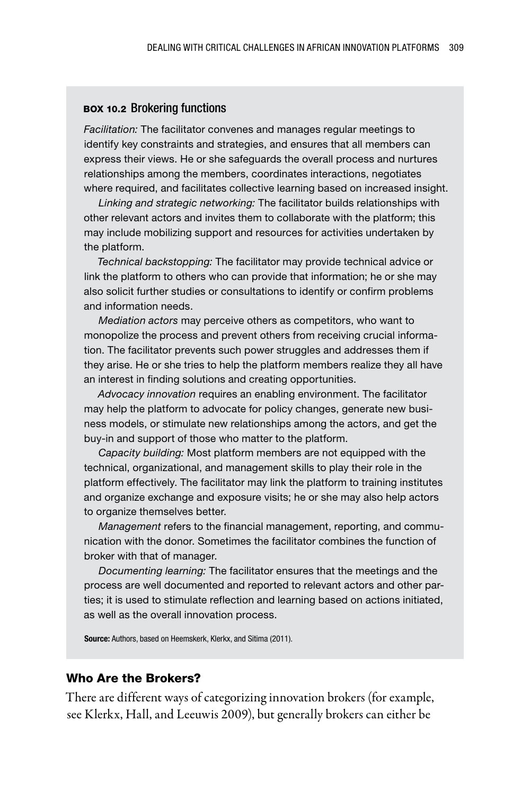#### BOX 10.2 Brokering functions

*Facilitation:* The facilitator convenes and manages regular meetings to identify key constraints and strategies, and ensures that all members can express their views. He or she safeguards the overall process and nurtures relationships among the members, coordinates interactions, negotiates where required, and facilitates collective learning based on increased insight.

*Linking and strategic networking:* The facilitator builds relationships with other relevant actors and invites them to collaborate with the platform; this may include mobilizing support and resources for activities undertaken by the platform.

*Technical backstopping:* The facilitator may provide technical advice or link the platform to others who can provide that information; he or she may also solicit further studies or consultations to identify or confirm problems and information needs.

*Mediation actors* may perceive others as competitors, who want to monopolize the process and prevent others from receiving crucial information. The facilitator prevents such power struggles and addresses them if they arise. He or she tries to help the platform members realize they all have an interest in finding solutions and creating opportunities.

*Advocacy innovation* requires an enabling environment. The facilitator may help the platform to advocate for policy changes, generate new business models, or stimulate new relationships among the actors, and get the buy-in and support of those who matter to the platform.

*Capacity building:* Most platform members are not equipped with the technical, organizational, and management skills to play their role in the platform effectively. The facilitator may link the platform to training institutes and organize exchange and exposure visits; he or she may also help actors to organize themselves better.

*Management* refers to the financial management, reporting, and communication with the donor. Sometimes the facilitator combines the function of broker with that of manager.

*Documenting learning:* The facilitator ensures that the meetings and the process are well documented and reported to relevant actors and other parties; it is used to stimulate reflection and learning based on actions initiated, as well as the overall innovation process.

Source: Authors, based on Heemskerk, Klerkx, and Sitima (2011).

### Who Are the Brokers?

There are different ways of categorizing innovation brokers (for example, see Klerkx, Hall, and Leeuwis 2009), but generally brokers can either be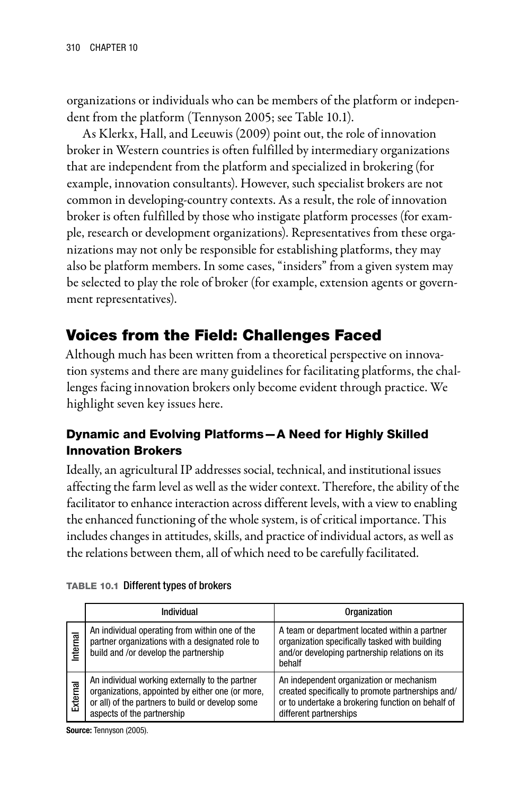organizations or individuals who can be members of the platform or independent from the platform (Tennyson 2005; see Table 10.1).

As Klerkx, Hall, and Leeuwis (2009) point out, the role of innovation broker in Western countries is often fulfilled by intermediary organizations that are independent from the platform and specialized in brokering (for example, innovation consultants). However, such specialist brokers are not common in developing-country contexts. As a result, the role of innovation broker is often fulfilled by those who instigate platform processes (for example, research or development organizations). Representatives from these organizations may not only be responsible for establishing platforms, they may also be platform members. In some cases, "insiders" from a given system may be selected to play the role of broker (for example, extension agents or government representatives).

# Voices from the Field: Challenges Faced

Although much has been written from a theoretical perspective on innovation systems and there are many guidelines for facilitating platforms, the challenges facing innovation brokers only become evident through practice. We highlight seven key issues here.

## Dynamic and Evolving Platforms—A Need for Highly Skilled Innovation Brokers

Ideally, an agricultural IP addresses social, technical, and institutional issues affecting the farm level as well as the wider context. Therefore, the ability of the facilitator to enhance interaction across different levels, with a view to enabling the enhanced functioning of the whole system, is of critical importance. This includes changes in attitudes, skills, and practice of individual actors, as well as the relations between them, all of which need to be carefully facilitated.

|          | Individual                                                                                                                                                                            | Organization                                                                                                                                                                 |
|----------|---------------------------------------------------------------------------------------------------------------------------------------------------------------------------------------|------------------------------------------------------------------------------------------------------------------------------------------------------------------------------|
| Internal | An individual operating from within one of the<br>partner organizations with a designated role to<br>build and /or develop the partnership                                            | A team or department located within a partner<br>organization specifically tasked with building<br>and/or developing partnership relations on its<br>behalf                  |
| External | An individual working externally to the partner<br>organizations, appointed by either one (or more,<br>or all) of the partners to build or develop some<br>aspects of the partnership | An independent organization or mechanism<br>created specifically to promote partnerships and/<br>or to undertake a brokering function on behalf of<br>different partnerships |

|  | TABLE 10.1 Different types of brokers |  |
|--|---------------------------------------|--|
|--|---------------------------------------|--|

Source: Tennyson (2005).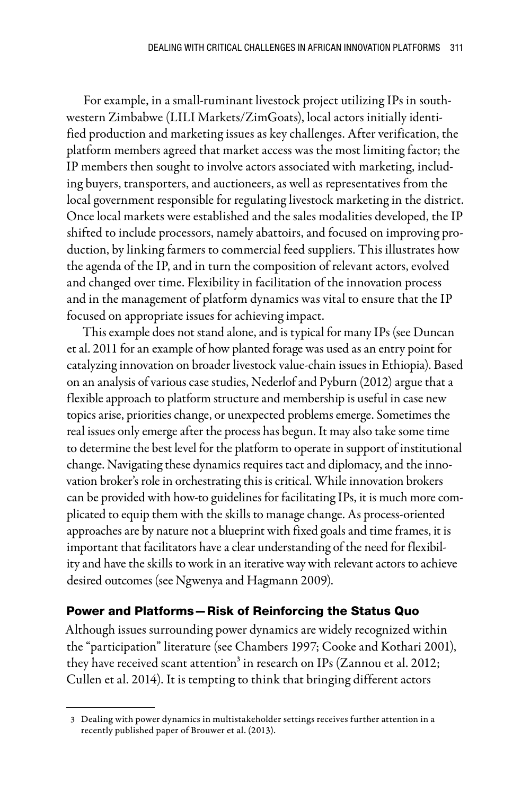For example, in a small-ruminant livestock project utilizing IPs in southwestern Zimbabwe (LILI Markets/ZimGoats), local actors initially identified production and marketing issues as key challenges. After verification, the platform members agreed that market access was the most limiting factor; the IP members then sought to involve actors associated with marketing, including buyers, transporters, and auctioneers, as well as representatives from the local government responsible for regulating livestock marketing in the district. Once local markets were established and the sales modalities developed, the IP shifted to include processors, namely abattoirs, and focused on improving production, by linking farmers to commercial feed suppliers. This illustrates how the agenda of the IP, and in turn the composition of relevant actors, evolved and changed over time. Flexibility in facilitation of the innovation process and in the management of platform dynamics was vital to ensure that the IP focused on appropriate issues for achieving impact.

This example does not stand alone, and is typical for many IPs (see Duncan et al. 2011 for an example of how planted forage was used as an entry point for catalyzing innovation on broader livestock value-chain issues in Ethiopia). Based on an analysis of various case studies, Nederlof and Pyburn (2012) argue that a flexible approach to platform structure and membership is useful in case new topics arise, priorities change, or unexpected problems emerge. Sometimes the real issues only emerge after the process has begun. It may also take some time to determine the best level for the platform to operate in support of institutional change. Navigating these dynamics requires tact and diplomacy, and the innovation broker's role in orchestrating this is critical. While innovation brokers can be provided with how-to guidelines for facilitating IPs, it is much more complicated to equip them with the skills to manage change. As process-oriented approaches are by nature not a blueprint with fixed goals and time frames, it is important that facilitators have a clear understanding of the need for flexibility and have the skills to work in an iterative way with relevant actors to achieve desired outcomes (see Ngwenya and Hagmann 2009).

### Power and Platforms—Risk of Reinforcing the Status Quo

Although issues surrounding power dynamics are widely recognized within the "participation" literature (see Chambers 1997; Cooke and Kothari 2001), they have received scant attention<sup>3</sup> in research on IPs (Zannou et al. 2012; Cullen et al. 2014). It is tempting to think that bringing different actors

<sup>3</sup> Dealing with power dynamics in multistakeholder settings receives further attention in a recently published paper of Brouwer et al. (2013).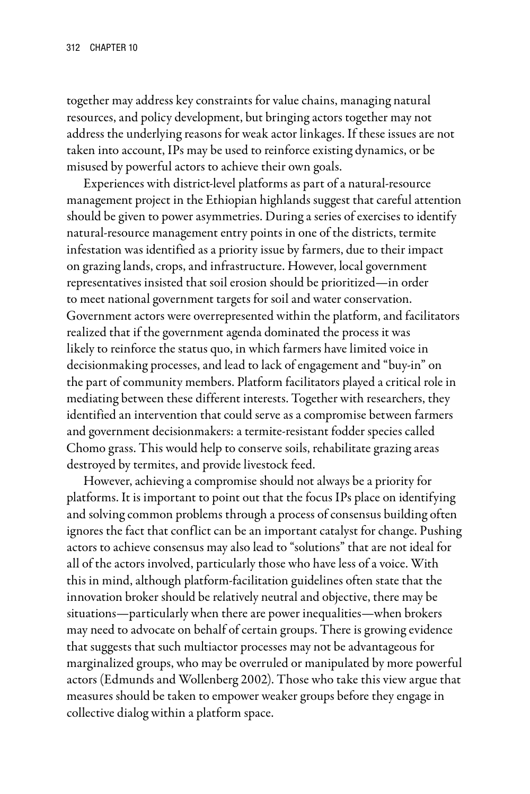together may address key constraints for value chains, managing natural resources, and policy development, but bringing actors together may not address the underlying reasons for weak actor linkages. If these issues are not taken into account, IPs may be used to reinforce existing dynamics, or be misused by powerful actors to achieve their own goals.

Experiences with district-level platforms as part of a natural-resource management project in the Ethiopian highlands suggest that careful attention should be given to power asymmetries. During a series of exercises to identify natural-resource management entry points in one of the districts, termite infestation was identified as a priority issue by farmers, due to their impact on grazing lands, crops, and infrastructure. However, local government representatives insisted that soil erosion should be prioritized—in order to meet national government targets for soil and water conservation. Government actors were overrepresented within the platform, and facilitators realized that if the government agenda dominated the process it was likely to reinforce the status quo, in which farmers have limited voice in decisionmaking processes, and lead to lack of engagement and "buy-in" on the part of community members. Platform facilitators played a critical role in mediating between these different interests. Together with researchers, they identified an intervention that could serve as a compromise between farmers and government decisionmakers: a termite-resistant fodder species called Chomo grass. This would help to conserve soils, rehabilitate grazing areas destroyed by termites, and provide livestock feed.

However, achieving a compromise should not always be a priority for platforms. It is important to point out that the focus IPs place on identifying and solving common problems through a process of consensus building often ignores the fact that conflict can be an important catalyst for change. Pushing actors to achieve consensus may also lead to "solutions" that are not ideal for all of the actors involved, particularly those who have less of a voice. With this in mind, although platform-facilitation guidelines often state that the innovation broker should be relatively neutral and objective, there may be situations—particularly when there are power inequalities—when brokers may need to advocate on behalf of certain groups. There is growing evidence that suggests that such multiactor processes may not be advantageous for marginalized groups, who may be overruled or manipulated by more powerful actors (Edmunds and Wollenberg 2002). Those who take this view argue that measures should be taken to empower weaker groups before they engage in collective dialog within a platform space.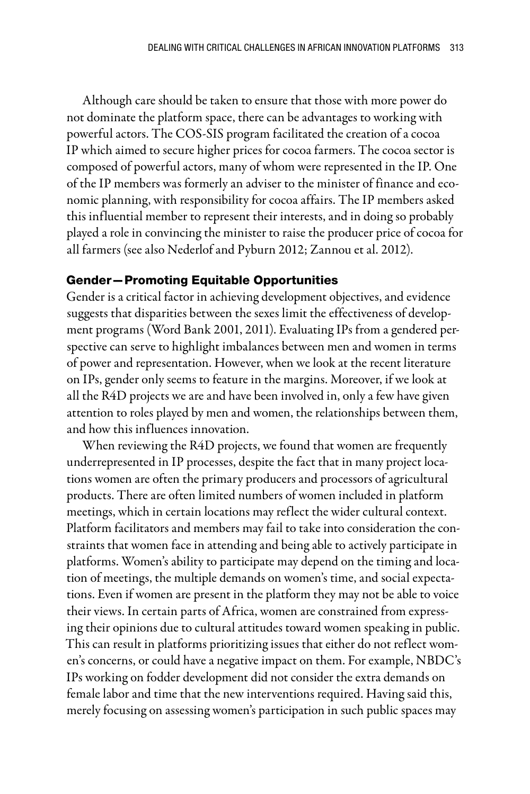Although care should be taken to ensure that those with more power do not dominate the platform space, there can be advantages to working with powerful actors. The COS-SIS program facilitated the creation of a cocoa IP which aimed to secure higher prices for cocoa farmers. The cocoa sector is composed of powerful actors, many of whom were represented in the IP. One of the IP members was formerly an adviser to the minister of finance and economic planning, with responsibility for cocoa affairs. The IP members asked this influential member to represent their interests, and in doing so probably played a role in convincing the minister to raise the producer price of cocoa for all farmers (see also Nederlof and Pyburn 2012; Zannou et al. 2012).

### Gender—Promoting Equitable Opportunities

Gender is a critical factor in achieving development objectives, and evidence suggests that disparities between the sexes limit the effectiveness of development programs (Word Bank 2001, 2011). Evaluating IPs from a gendered perspective can serve to highlight imbalances between men and women in terms of power and representation. However, when we look at the recent literature on IPs, gender only seems to feature in the margins. Moreover, if we look at all the R4D projects we are and have been involved in, only a few have given attention to roles played by men and women, the relationships between them, and how this influences innovation.

When reviewing the R4D projects, we found that women are frequently underrepresented in IP processes, despite the fact that in many project locations women are often the primary producers and processors of agricultural products. There are often limited numbers of women included in platform meetings, which in certain locations may reflect the wider cultural context. Platform facilitators and members may fail to take into consideration the constraints that women face in attending and being able to actively participate in platforms. Women's ability to participate may depend on the timing and location of meetings, the multiple demands on women's time, and social expectations. Even if women are present in the platform they may not be able to voice their views. In certain parts of Africa, women are constrained from expressing their opinions due to cultural attitudes toward women speaking in public. This can result in platforms prioritizing issues that either do not reflect women's concerns, or could have a negative impact on them. For example, NBDC's IPs working on fodder development did not consider the extra demands on female labor and time that the new interventions required. Having said this, merely focusing on assessing women's participation in such public spaces may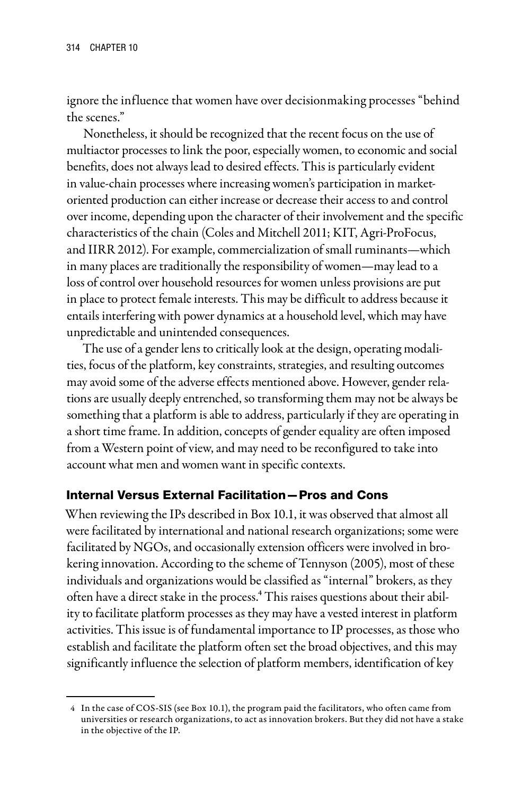ignore the influence that women have over decisionmaking processes "behind the scenes."

Nonetheless, it should be recognized that the recent focus on the use of multiactor processes to link the poor, especially women, to economic and social benefits, does not always lead to desired effects. This is particularly evident in value-chain processes where increasing women's participation in marketoriented production can either increase or decrease their access to and control over income, depending upon the character of their involvement and the specific characteristics of the chain (Coles and Mitchell 2011; KIT, Agri-ProFocus, and IIRR 2012). For example, commercialization of small ruminants—which in many places are traditionally the responsibility of women—may lead to a loss of control over household resources for women unless provisions are put in place to protect female interests. This may be difficult to address because it entails interfering with power dynamics at a household level, which may have unpredictable and unintended consequences.

The use of a gender lens to critically look at the design, operating modalities, focus of the platform, key constraints, strategies, and resulting outcomes may avoid some of the adverse effects mentioned above. However, gender relations are usually deeply entrenched, so transforming them may not be always be something that a platform is able to address, particularly if they are operating in a short time frame. In addition, concepts of gender equality are often imposed from a Western point of view, and may need to be reconfigured to take into account what men and women want in specific contexts.

### Internal Versus External Facilitation—Pros and Cons

When reviewing the IPs described in Box 10.1, it was observed that almost all were facilitated by international and national research organizations; some were facilitated by NGOs, and occasionally extension officers were involved in brokering innovation. According to the scheme of Tennyson (2005), most of these individuals and organizations would be classified as "internal" brokers, as they often have a direct stake in the process.<sup>4</sup> This raises questions about their ability to facilitate platform processes as they may have a vested interest in platform activities. This issue is of fundamental importance to IP processes, as those who establish and facilitate the platform often set the broad objectives, and this may significantly influence the selection of platform members, identification of key

<sup>4</sup> In the case of COS-SIS (see Box 10.1), the program paid the facilitators, who often came from universities or research organizations, to act as innovation brokers. But they did not have a stake in the objective of the IP.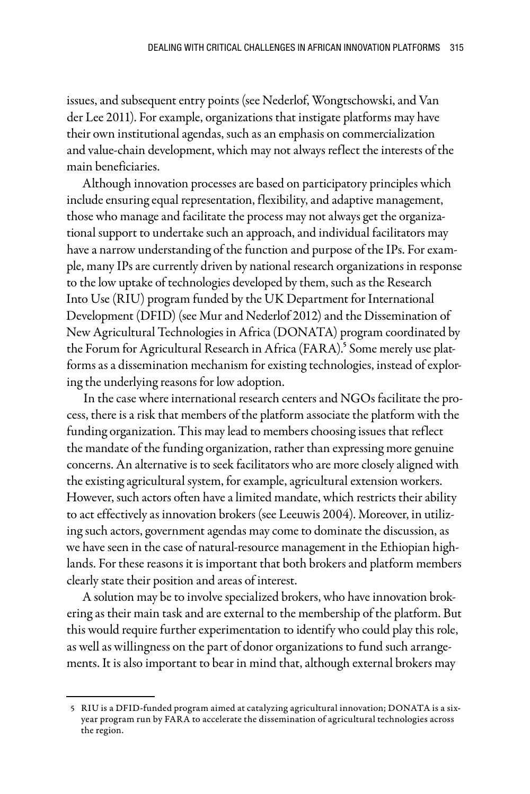issues, and subsequent entry points (see Nederlof, Wongtschowski, and Van der Lee 2011). For example, organizations that instigate platforms may have their own institutional agendas, such as an emphasis on commercialization and value-chain development, which may not always reflect the interests of the main beneficiaries.

Although innovation processes are based on participatory principles which include ensuring equal representation, flexibility, and adaptive management, those who manage and facilitate the process may not always get the organizational support to undertake such an approach, and individual facilitators may have a narrow understanding of the function and purpose of the IPs. For example, many IPs are currently driven by national research organizations in response to the low uptake of technologies developed by them, such as the Research Into Use (RIU) program funded by the UK Department for International Development (DFID) (see Mur and Nederlof 2012) and the Dissemination of New Agricultural Technologies in Africa (DONATA) program coordinated by the Forum for Agricultural Research in Africa (FARA).<sup>5</sup> Some merely use platforms as a dissemination mechanism for existing technologies, instead of exploring the underlying reasons for low adoption.

In the case where international research centers and NGOs facilitate the process, there is a risk that members of the platform associate the platform with the funding organization. This may lead to members choosing issues that reflect the mandate of the funding organization, rather than expressing more genuine concerns. An alternative is to seek facilitators who are more closely aligned with the existing agricultural system, for example, agricultural extension workers. However, such actors often have a limited mandate, which restricts their ability to act effectively as innovation brokers (see Leeuwis 2004). Moreover, in utilizing such actors, government agendas may come to dominate the discussion, as we have seen in the case of natural-resource management in the Ethiopian highlands. For these reasons it is important that both brokers and platform members clearly state their position and areas of interest.

A solution may be to involve specialized brokers, who have innovation brokering as their main task and are external to the membership of the platform. But this would require further experimentation to identify who could play this role, as well as willingness on the part of donor organizations to fund such arrangements. It is also important to bear in mind that, although external brokers may

<sup>5</sup> RIU is a DFID-funded program aimed at catalyzing agricultural innovation; DONATA is a sixyear program run by FARA to accelerate the dissemination of agricultural technologies across the region.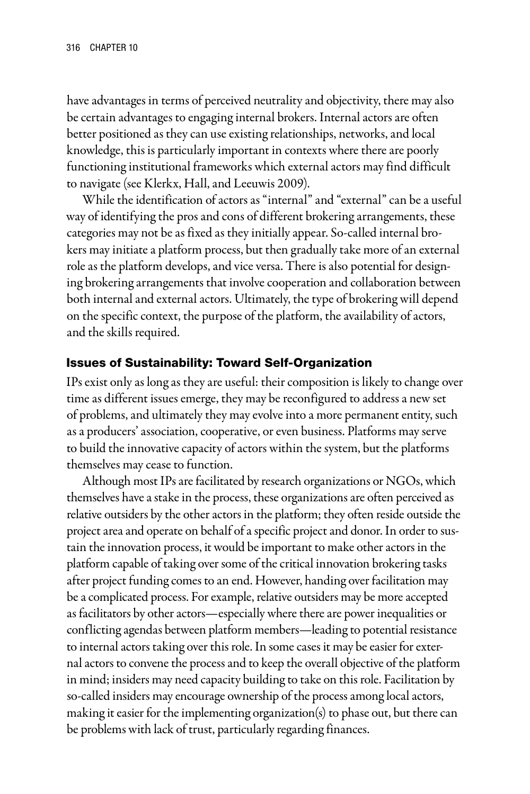have advantages in terms of perceived neutrality and objectivity, there may also be certain advantages to engaging internal brokers. Internal actors are often better positioned as they can use existing relationships, networks, and local knowledge, this is particularly important in contexts where there are poorly functioning institutional frameworks which external actors may find difficult to navigate (see Klerkx, Hall, and Leeuwis 2009).

While the identification of actors as "internal" and "external" can be a useful way of identifying the pros and cons of different brokering arrangements, these categories may not be as fixed as they initially appear. So-called internal brokers may initiate a platform process, but then gradually take more of an external role as the platform develops, and vice versa. There is also potential for designing brokering arrangements that involve cooperation and collaboration between both internal and external actors. Ultimately, the type of brokering will depend on the specific context, the purpose of the platform, the availability of actors, and the skills required.

#### Issues of Sustainability: Toward Self-Organization

IPs exist only as long as they are useful: their composition is likely to change over time as different issues emerge, they may be reconfigured to address a new set of problems, and ultimately they may evolve into a more permanent entity, such as a producers' association, cooperative, or even business. Platforms may serve to build the innovative capacity of actors within the system, but the platforms themselves may cease to function.

Although most IPs are facilitated by research organizations or NGOs, which themselves have a stake in the process, these organizations are often perceived as relative outsiders by the other actors in the platform; they often reside outside the project area and operate on behalf of a specific project and donor. In order to sustain the innovation process, it would be important to make other actors in the platform capable of taking over some of the critical innovation brokering tasks after project funding comes to an end. However, handing over facilitation may be a complicated process. For example, relative outsiders may be more accepted as facilitators by other actors—especially where there are power inequalities or conflicting agendas between platform members—leading to potential resistance to internal actors taking over this role. In some cases it may be easier for external actors to convene the process and to keep the overall objective of the platform in mind; insiders may need capacity building to take on this role. Facilitation by so-called insiders may encourage ownership of the process among local actors, making it easier for the implementing organization(s) to phase out, but there can be problems with lack of trust, particularly regarding finances.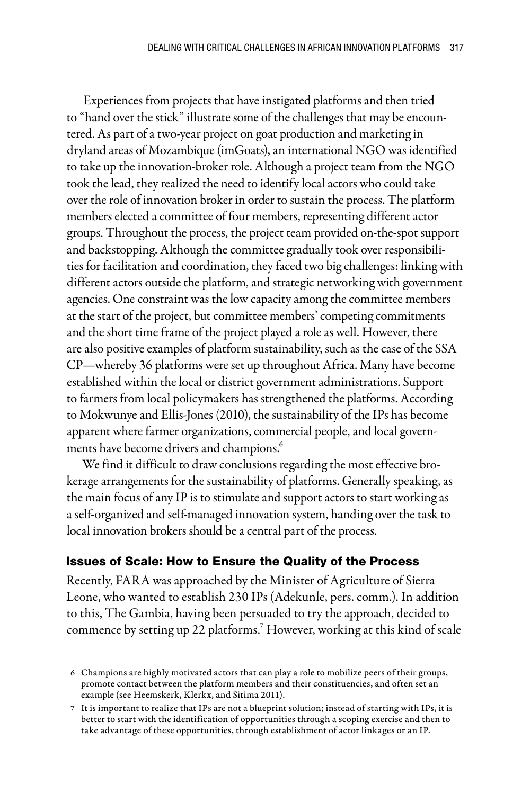Experiences from projects that have instigated platforms and then tried to "hand over the stick" illustrate some of the challenges that may be encountered. As part of a two-year project on goat production and marketing in dryland areas of Mozambique (imGoats), an international NGO was identified to take up the innovation-broker role. Although a project team from the NGO took the lead, they realized the need to identify local actors who could take over the role of innovation broker in order to sustain the process. The platform members elected a committee of four members, representing different actor groups. Throughout the process, the project team provided on-the-spot support and backstopping. Although the committee gradually took over responsibilities for facilitation and coordination, they faced two big challenges: linking with different actors outside the platform, and strategic networking with government agencies. One constraint was the low capacity among the committee members at the start of the project, but committee members' competing commitments and the short time frame of the project played a role as well. However, there are also positive examples of platform sustainability, such as the case of the SSA CP—whereby 36 platforms were set up throughout Africa. Many have become established within the local or district government administrations. Support to farmers from local policymakers has strengthened the platforms. According to Mokwunye and Ellis-Jones (2010), the sustainability of the IPs has become apparent where farmer organizations, commercial people, and local governments have become drivers and champions.<sup>6</sup>

We find it difficult to draw conclusions regarding the most effective brokerage arrangements for the sustainability of platforms. Generally speaking, as the main focus of any IP is to stimulate and support actors to start working as a self-organized and self-managed innovation system, handing over the task to local innovation brokers should be a central part of the process.

### Issues of Scale: How to Ensure the Quality of the Process

Recently, FARA was approached by the Minister of Agriculture of Sierra Leone, who wanted to establish 230 IPs (Adekunle, pers. comm.). In addition to this, The Gambia, having been persuaded to try the approach, decided to commence by setting up 22 platforms.<sup>7</sup> However, working at this kind of scale

<sup>6</sup> Champions are highly motivated actors that can play a role to mobilize peers of their groups, promote contact between the platform members and their constituencies, and often set an example (see Heemskerk, Klerkx, and Sitima 2011).

<sup>7</sup> It is important to realize that IPs are not a blueprint solution; instead of starting with IPs, it is better to start with the identification of opportunities through a scoping exercise and then to take advantage of these opportunities, through establishment of actor linkages or an IP.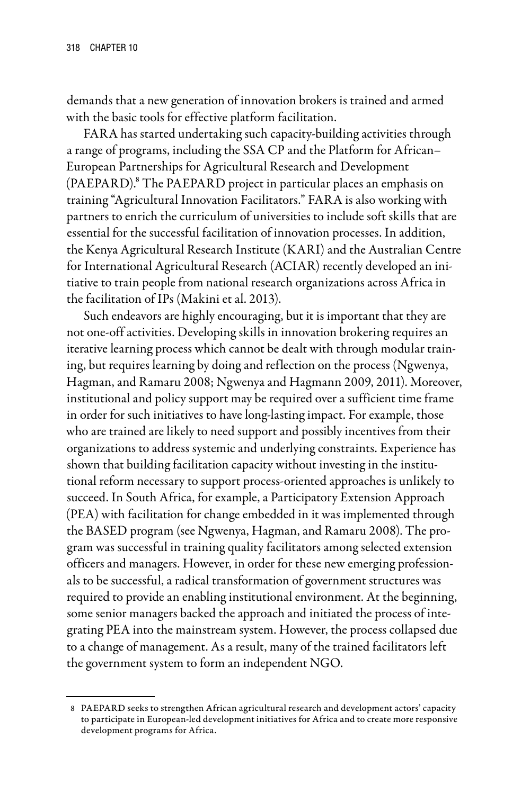demands that a new generation of innovation brokers is trained and armed with the basic tools for effective platform facilitation.

FARA has started undertaking such capacity-building activities through a range of programs, including the SSA CP and the Platform for African– European Partnerships for Agricultural Research and Development (PAEPARD).8 The PAEPARD project in particular places an emphasis on training "Agricultural Innovation Facilitators." FARA is also working with partners to enrich the curriculum of universities to include soft skills that are essential for the successful facilitation of innovation processes. In addition, the Kenya Agricultural Research Institute (KARI) and the Australian Centre for International Agricultural Research (ACIAR) recently developed an initiative to train people from national research organizations across Africa in the facilitation of IPs (Makini et al. 2013).

Such endeavors are highly encouraging, but it is important that they are not one-off activities. Developing skills in innovation brokering requires an iterative learning process which cannot be dealt with through modular training, but requires learning by doing and reflection on the process (Ngwenya, Hagman, and Ramaru 2008; Ngwenya and Hagmann 2009, 2011). Moreover, institutional and policy support may be required over a sufficient time frame in order for such initiatives to have long-lasting impact. For example, those who are trained are likely to need support and possibly incentives from their organizations to address systemic and underlying constraints. Experience has shown that building facilitation capacity without investing in the institutional reform necessary to support process-oriented approaches is unlikely to succeed. In South Africa, for example, a Participatory Extension Approach (PEA) with facilitation for change embedded in it was implemented through the BASED program (see Ngwenya, Hagman, and Ramaru 2008). The program was successful in training quality facilitators among selected extension officers and managers. However, in order for these new emerging professionals to be successful, a radical transformation of government structures was required to provide an enabling institutional environment. At the beginning, some senior managers backed the approach and initiated the process of integrating PEA into the mainstream system. However, the process collapsed due to a change of management. As a result, many of the trained facilitators left the government system to form an independent NGO.

<sup>8</sup> PAEPARD seeks to strengthen African agricultural research and development actors' capacity to participate in European-led development initiatives for Africa and to create more responsive development programs for Africa.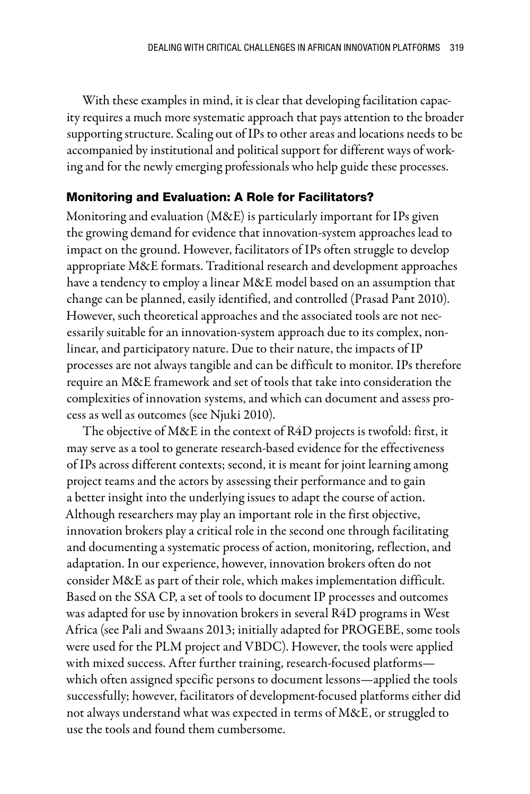With these examples in mind, it is clear that developing facilitation capacity requires a much more systematic approach that pays attention to the broader supporting structure. Scaling out of IPs to other areas and locations needs to be accompanied by institutional and political support for different ways of working and for the newly emerging professionals who help guide these processes.

### Monitoring and Evaluation: A Role for Facilitators?

Monitoring and evaluation (M&E) is particularly important for IPs given the growing demand for evidence that innovation-system approaches lead to impact on the ground. However, facilitators of IPs often struggle to develop appropriate M&E formats. Traditional research and development approaches have a tendency to employ a linear M&E model based on an assumption that change can be planned, easily identified, and controlled (Prasad Pant 2010). However, such theoretical approaches and the associated tools are not necessarily suitable for an innovation-system approach due to its complex, nonlinear, and participatory nature. Due to their nature, the impacts of IP processes are not always tangible and can be difficult to monitor. IPs therefore require an M&E framework and set of tools that take into consideration the complexities of innovation systems, and which can document and assess process as well as outcomes (see Njuki 2010).

The objective of M&E in the context of R4D projects is twofold: first, it may serve as a tool to generate research-based evidence for the effectiveness of IPs across different contexts; second, it is meant for joint learning among project teams and the actors by assessing their performance and to gain a better insight into the underlying issues to adapt the course of action. Although researchers may play an important role in the first objective, innovation brokers play a critical role in the second one through facilitating and documenting a systematic process of action, monitoring, reflection, and adaptation. In our experience, however, innovation brokers often do not consider M&E as part of their role, which makes implementation difficult. Based on the SSA CP, a set of tools to document IP processes and outcomes was adapted for use by innovation brokers in several R4D programs in West Africa (see Pali and Swaans 2013; initially adapted for PROGEBE, some tools were used for the PLM project and VBDC). However, the tools were applied with mixed success. After further training, research-focused platforms which often assigned specific persons to document lessons—applied the tools successfully; however, facilitators of development-focused platforms either did not always understand what was expected in terms of M&E, or struggled to use the tools and found them cumbersome.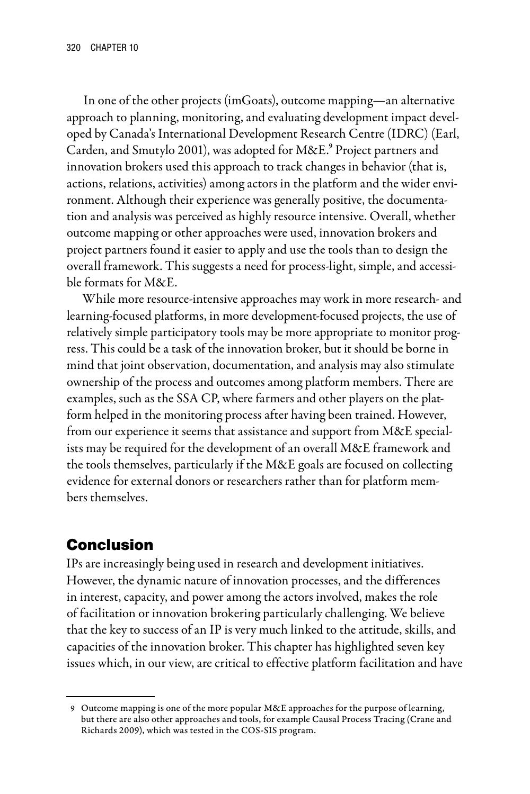In one of the other projects (imGoats), outcome mapping—an alternative approach to planning, monitoring, and evaluating development impact developed by Canada's International Development Research Centre (IDRC) (Earl, Carden, and Smutylo 2001), was adopted for M&E.<sup>9</sup> Project partners and innovation brokers used this approach to track changes in behavior (that is, actions, relations, activities) among actors in the platform and the wider environment. Although their experience was generally positive, the documentation and analysis was perceived as highly resource intensive. Overall, whether outcome mapping or other approaches were used, innovation brokers and project partners found it easier to apply and use the tools than to design the overall framework. This suggests a need for process-light, simple, and accessible formats for M&E.

While more resource-intensive approaches may work in more research- and learning-focused platforms, in more development-focused projects, the use of relatively simple participatory tools may be more appropriate to monitor progress. This could be a task of the innovation broker, but it should be borne in mind that joint observation, documentation, and analysis may also stimulate ownership of the process and outcomes among platform members. There are examples, such as the SSA CP, where farmers and other players on the platform helped in the monitoring process after having been trained. However, from our experience it seems that assistance and support from M&E specialists may be required for the development of an overall M&E framework and the tools themselves, particularly if the M&E goals are focused on collecting evidence for external donors or researchers rather than for platform members themselves.

# Conclusion

IPs are increasingly being used in research and development initiatives. However, the dynamic nature of innovation processes, and the differences in interest, capacity, and power among the actors involved, makes the role of facilitation or innovation brokering particularly challenging. We believe that the key to success of an IP is very much linked to the attitude, skills, and capacities of the innovation broker. This chapter has highlighted seven key issues which, in our view, are critical to effective platform facilitation and have

<sup>9</sup> Outcome mapping is one of the more popular M&E approaches for the purpose of learning, but there are also other approaches and tools, for example Causal Process Tracing (Crane and Richards 2009), which was tested in the COS-SIS program.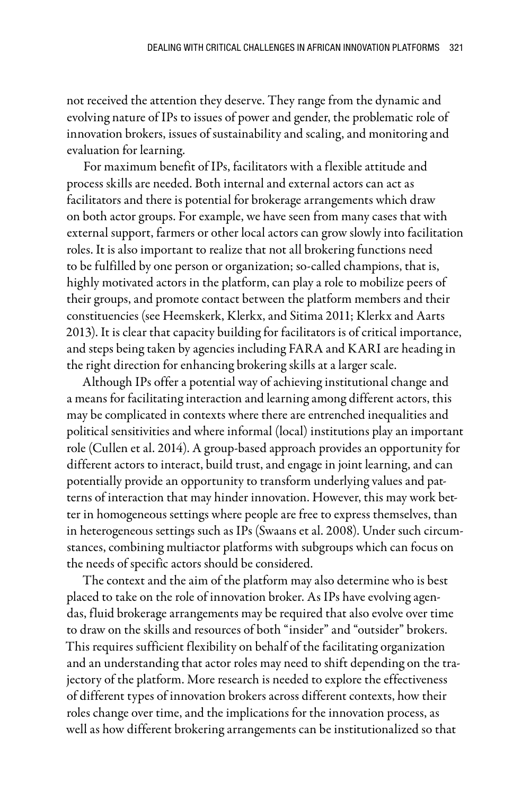not received the attention they deserve. They range from the dynamic and evolving nature of IPs to issues of power and gender, the problematic role of innovation brokers, issues of sustainability and scaling, and monitoring and evaluation for learning.

For maximum benefit of IPs, facilitators with a flexible attitude and process skills are needed. Both internal and external actors can act as facilitators and there is potential for brokerage arrangements which draw on both actor groups. For example, we have seen from many cases that with external support, farmers or other local actors can grow slowly into facilitation roles. It is also important to realize that not all brokering functions need to be fulfilled by one person or organization; so-called champions, that is, highly motivated actors in the platform, can play a role to mobilize peers of their groups, and promote contact between the platform members and their constituencies (see Heemskerk, Klerkx, and Sitima 2011; Klerkx and Aarts 2013). It is clear that capacity building for facilitators is of critical importance, and steps being taken by agencies including FARA and KARI are heading in the right direction for enhancing brokering skills at a larger scale.

Although IPs offer a potential way of achieving institutional change and a means for facilitating interaction and learning among different actors, this may be complicated in contexts where there are entrenched inequalities and political sensitivities and where informal (local) institutions play an important role (Cullen et al. 2014). A group-based approach provides an opportunity for different actors to interact, build trust, and engage in joint learning, and can potentially provide an opportunity to transform underlying values and patterns of interaction that may hinder innovation. However, this may work better in homogeneous settings where people are free to express themselves, than in heterogeneous settings such as IPs (Swaans et al. 2008). Under such circumstances, combining multiactor platforms with subgroups which can focus on the needs of specific actors should be considered.

The context and the aim of the platform may also determine who is best placed to take on the role of innovation broker. As IPs have evolving agendas, fluid brokerage arrangements may be required that also evolve over time to draw on the skills and resources of both "insider" and "outsider" brokers. This requires sufficient flexibility on behalf of the facilitating organization and an understanding that actor roles may need to shift depending on the trajectory of the platform. More research is needed to explore the effectiveness of different types of innovation brokers across different contexts, how their roles change over time, and the implications for the innovation process, as well as how different brokering arrangements can be institutionalized so that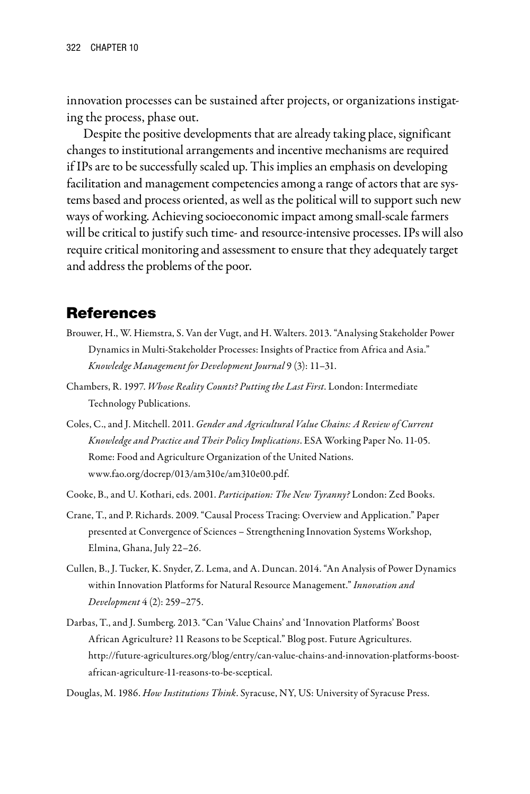innovation processes can be sustained after projects, or organizations instigating the process, phase out.

Despite the positive developments that are already taking place, significant changes to institutional arrangements and incentive mechanisms are required if IPs are to be successfully scaled up. This implies an emphasis on developing facilitation and management competencies among a range of actors that are systems based and process oriented, as well as the political will to support such new ways of working. Achieving socioeconomic impact among small-scale farmers will be critical to justify such time- and resource-intensive processes. IPs will also require critical monitoring and assessment to ensure that they adequately target and address the problems of the poor.

### References

- Brouwer, H., W. Hiemstra, S. Van der Vugt, and H. Walters. 2013. "Analysing Stakeholder Power Dynamics in Multi-Stakeholder Processes: Insights of Practice from Africa and Asia." *Knowledge Management for Development Journal* 9 (3): 11–31.
- Chambers, R. 1997. *Whose Reality Counts? Putting the Last First*. London: Intermediate Technology Publications.
- Coles, C., and J. Mitchell. 2011. *Gender and Agricultural Value Chains: A Review of Current Knowledge and Practice and Their Policy Implications*. ESA Working Paper No. 11-05. Rome: Food and Agriculture Organization of the United Nations. www.fao.org/docrep/013/am310e/am310e00.pdf.
- Cooke, B., and U. Kothari, eds. 2001. *Participation: The New Tyranny?* London: Zed Books.
- Crane, T., and P. Richards. 2009. "Causal Process Tracing: Overview and Application." Paper presented at Convergence of Sciences – Strengthening Innovation Systems Workshop, Elmina, Ghana, July 22–26.
- Cullen, B., J. Tucker, K. Snyder, Z. Lema, and A. Duncan. 2014. "An Analysis of Power Dynamics within Innovation Platforms for Natural Resource Management." *Innovation and Development* 4 (2): 259–275.
- Darbas, T., and J. Sumberg. 2013. "Can 'Value Chains' and 'Innovation Platforms' Boost African Agriculture? 11 Reasons to be Sceptical." Blog post. Future Agricultures. http://future-agricultures.org/blog/entry/can-value-chains-and-innovation-platforms-boostafrican-agriculture-11-reasons-to-be-sceptical.

Douglas, M. 1986. *How Institutions Think*. Syracuse, NY, US: University of Syracuse Press.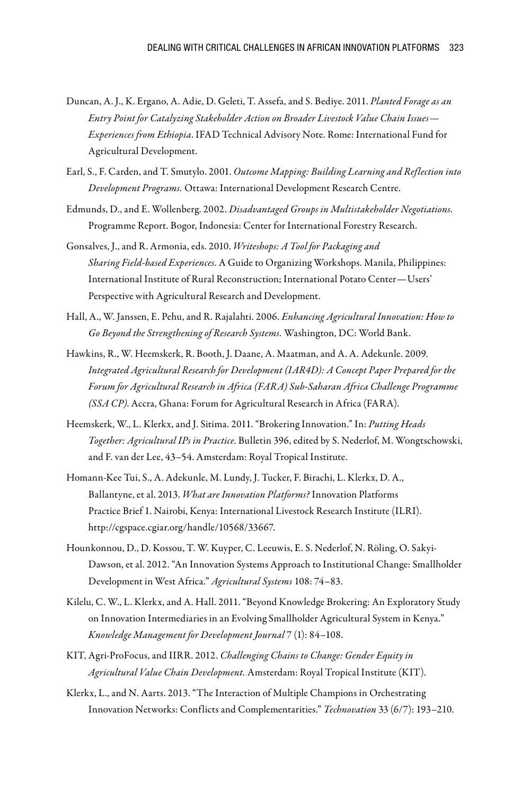- Duncan, A. J., K. Ergano, A. Adie, D. Geleti, T. Assefa, and S. Bediye. 2011. *Planted Forage as an Entry Point for Catalyzing Stakeholder Action on Broader Livestock Value Chain Issues— Experiences from Ethiopia*. IFAD Technical Advisory Note. Rome: International Fund for Agricultural Development.
- Earl, S., F. Carden, and T. Smutylo. 2001. *Outcome Mapping: Building Learning and Reflection into Development Programs.* Ottawa: International Development Research Centre.
- Edmunds, D., and E. Wollenberg. 2002. *Disadvantaged Groups in Multistakeholder Negotiations*. Programme Report. Bogor, Indonesia: Center for International Forestry Research.
- Gonsalves, J., and R. Armonia, eds. 2010. *Writeshops: A Tool for Packaging and Sharing Field-based Experiences*. A Guide to Organizing Workshops. Manila, Philippines: International Institute of Rural Reconstruction; International Potato Center—Users' Perspective with Agricultural Research and Development.
- Hall, A., W. Janssen, E. Pehu, and R. Rajalahti. 2006. *Enhancing Agricultural Innovation: How to Go Beyond the Strengthening of Research Systems.* Washington, DC: World Bank.
- Hawkins, R., W. Heemskerk, R. Booth, J. Daane, A. Maatman, and A. A. Adekunle. 2009. *Integrated Agricultural Research for Development (IAR4D): A Concept Paper Prepared for the Forum for Agricultural Research in Africa (FARA) Sub-Saharan Africa Challenge Programme (SSA CP)*. Accra, Ghana: Forum for Agricultural Research in Africa (FARA).
- Heemskerk, W., L. Klerkx, and J. Sitima. 2011. "Brokering Innovation." In: *Putting Heads Together: Agricultural IPs in Practice*. Bulletin 396, edited by S. Nederlof, M. Wongtschowski, and F. van der Lee, 43–54. Amsterdam: Royal Tropical Institute.
- Homann-Kee Tui, S., A. Adekunle, M. Lundy, J. Tucker, F. Birachi, L. Klerkx, D. A., Ballantyne, et al. 2013. *What are Innovation Platforms?* Innovation Platforms Practice Brief 1. Nairobi, Kenya: International Livestock Research Institute (ILRI). http://cgspace.cgiar.org/handle/10568/33667.
- Hounkonnou, D., D. Kossou, T. W. Kuyper, C. Leeuwis, E. S. Nederlof, N. Röling, O. Sakyi-Dawson, et al. 2012. "An Innovation Systems Approach to Institutional Change: Smallholder Development in West Africa." *Agricultural Systems* 108: 74–83.
- Kilelu, C. W., L. Klerkx, and A. Hall. 2011. "Beyond Knowledge Brokering: An Exploratory Study on Innovation Intermediaries in an Evolving Smallholder Agricultural System in Kenya." *Knowledge Management for Development Journal* 7 (1): 84–108.
- KIT, Agri-ProFocus, and IIRR. 2012. *Challenging Chains to Change: Gender Equity in Agricultural Value Chain Development.* Amsterdam: Royal Tropical Institute (KIT).
- Klerkx, L., and N. Aarts. 2013. "The Interaction of Multiple Champions in Orchestrating Innovation Networks: Conflicts and Complementarities." *Technovation* 33 (6/7): 193–210.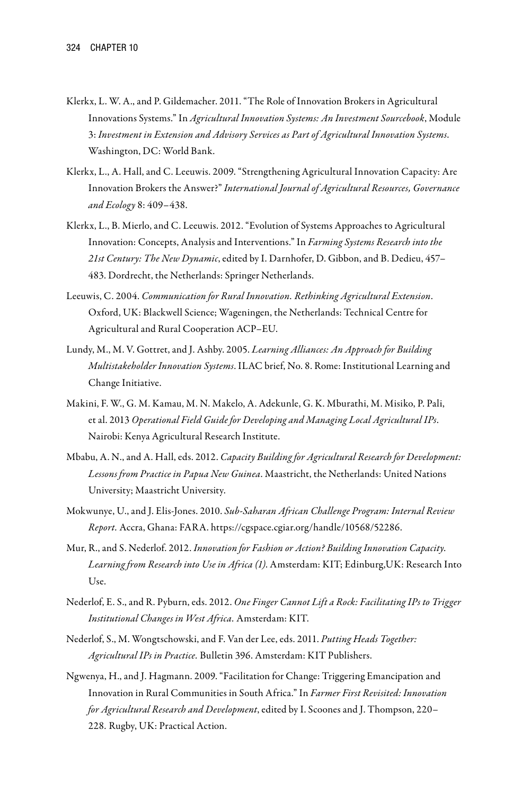- Klerkx, L. W. A., and P. Gildemacher. 2011. "The Role of Innovation Brokers in Agricultural Innovations Systems." In *Agricultural Innovation Systems: An Investment Sourcebook*, Module 3: *Investment in Extension and Advisory Services as Part of Agricultural Innovation Systems*. Washington, DC: World Bank.
- Klerkx, L., A. Hall, and C. Leeuwis. 2009. "Strengthening Agricultural Innovation Capacity: Are Innovation Brokers the Answer?" *International Journal of Agricultural Resources, Governance and Ecology* 8: 409–438.
- Klerkx, L., B. Mierlo, and C. Leeuwis. 2012. "Evolution of Systems Approaches to Agricultural Innovation: Concepts, Analysis and Interventions." In *Farming Systems Research into the 21st Century: The New Dynamic*, edited by I. Darnhofer, D. Gibbon, and B. Dedieu, 457– 483. Dordrecht, the Netherlands: Springer Netherlands.
- Leeuwis, C. 2004. *Communication for Rural Innovation. Rethinking Agricultural Extension*. Oxford, UK: Blackwell Science; Wageningen, the Netherlands: Technical Centre for Agricultural and Rural Cooperation ACP–EU.
- Lundy, M., M. V. Gottret, and J. Ashby. 2005. *Learning Alliances: An Approach for Building Multistakeholder Innovation Systems*. ILAC brief, No. 8. Rome: Institutional Learning and Change Initiative.
- Makini, F. W., G. M. Kamau, M. N. Makelo, A. Adekunle, G. K. Mburathi, M. Misiko, P. Pali, et al. 2013 *Operational Field Guide for Developing and Managing Local Agricultural IPs*. Nairobi: Kenya Agricultural Research Institute.
- Mbabu, A. N., and A. Hall, eds. 2012. *Capacity Building for Agricultural Research for Development: Lessons from Practice in Papua New Guinea*. Maastricht, the Netherlands: United Nations University; Maastricht University.
- Mokwunye, U., and J. Elis-Jones. 2010. *Sub-Saharan African Challenge Program: Internal Review Report.* Accra, Ghana: FARA. https://cgspace.cgiar.org/handle/10568/52286.
- Mur, R., and S. Nederlof. 2012. *Innovation for Fashion or Action? Building Innovation Capacity. Learning from Research into Use in Africa (1)*. Amsterdam: KIT; Edinburg,UK: Research Into Use.
- Nederlof, E. S., and R. Pyburn, eds. 2012. *One Finger Cannot Lift a Rock: Facilitating IPs to Trigger Institutional Changes in West Africa.* Amsterdam: KIT.
- Nederlof, S., M. Wongtschowski, and F. Van der Lee, eds. 2011. *Putting Heads Together: Agricultural IPs in Practice.* Bulletin 396. Amsterdam: KIT Publishers.
- Ngwenya, H., and J. Hagmann. 2009. "Facilitation for Change: Triggering Emancipation and Innovation in Rural Communities in South Africa." In *Farmer First Revisited: Innovation for Agricultural Research and Development*, edited by I. Scoones and J. Thompson, 220– 228*.* Rugby, UK: Practical Action.